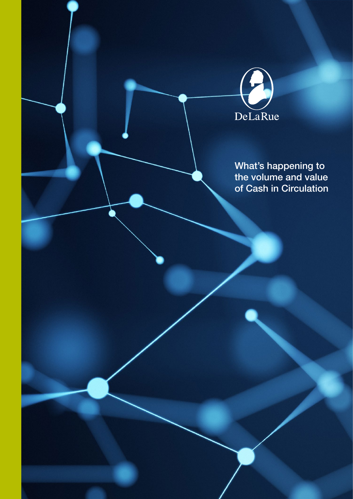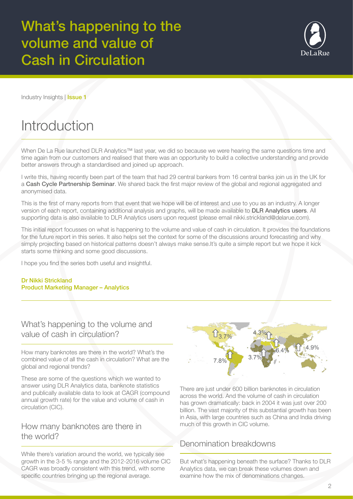

Industry Insights | Issue 1

# **Introduction**

When De La Rue launched DLR Analytics™ last year, we did so because we were hearing the same questions time and time again from our customers and realised that there was an opportunity to build a collective understanding and provide better answers through a standardised and joined up approach.

I write this, having recently been part of the team that had 29 central bankers from 16 central banks join us in the UK for a Cash Cycle Partnership Seminar. We shared back the first major review of the global and regional aggregated and anonymised data.

This is the first of many reports from that event that we hope will be of interest and use to you as an industry. A longer version of each report, containing additional analysis and graphs, will be made available to **DLR Analytics users**. All supporting data is also available to DLR Analytics users upon request (please email nikki.strickland@delarue.com).

This initial report focusses on what is happening to the volume and value of cash in circulation. It provides the foundations for the future report in this series. It also helps set the context for some of the discussions around forecasting and why simply projecting based on historical patterns doesn't always make sense.It's quite a simple report but we hope it kick starts some thinking and some good discussions.

I hope you find the series both useful and insightful.

#### Dr Nikki Strickland Product Marketing Manager – Analytics

What's happening to the volume and value of cash in circulation?

How many banknotes are there in the world? What's the combined value of all the cash in circulation? What are the global and regional trends?

These are some of the questions which we wanted to answer using DLR Analytics data, banknote statistics and publically available data to look at CAGR (compound annual growth rate) for the value and volume of cash in circulation (CIC).

#### How many banknotes are there in the world?

While there's variation around the world, we typically see growth in the 3-5 % range and the 2012-2016 volume CIC CAGR was broadly consistent with this trend, with some specific countries bringing up the regional average.



There are just under 600 billion banknotes in circulation across the world. And the volume of cash in circulation has grown dramatically: back in 2004 it was just over 200 billion. The vast majority of this substantial growth has been in Asia, with large countries such as China and India driving much of this growth in CIC volume.

#### Denomination breakdowns

But what's happening beneath the surface? Thanks to DLR Analytics data, we can break these volumes down and examine how the mix of denominations changes.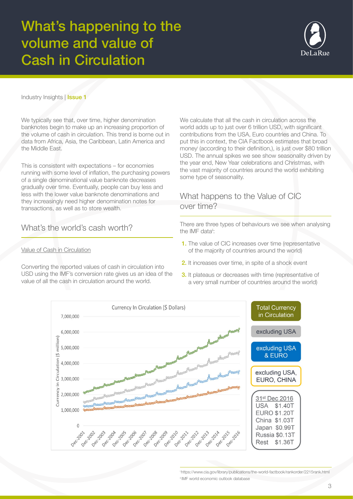

Industry Insights | **Issue 1** 

We typically see that, over time, higher denomination banknotes begin to make up an increasing proportion of the volume of cash in circulation. This trend is borne out in data from Africa, Asia, the Caribbean, Latin America and the Middle East.

This is consistent with expectations – for economies running with some level of inflation, the purchasing powers of a single denominational value banknote decreases gradually over time. Eventually, people can buy less and less with the lower value banknote denominations and they increasingly need higher denomination notes for transactions, as well as to store wealth.

### What's the world's cash worth?

#### Value of Cash in Circulation

Converting the reported values of cash in circulation into USD using the IMF's conversion rate gives us an idea of the value of all the cash in circulation around the world.

We calculate that all the cash in circulation across the world adds up to just over 6 trillion USD, with significant contributions from the USA, Euro countries and China. To put this in context, the CIA Factbook estimates that broad moneyi (according to their definition,), is just over \$80 trillion USD. The annual spikes we see show seasonality driven by the year end, New Year celebrations and Christmas, with the vast majority of countries around the world exhibiting some type of seasonality.

#### What happens to the Value of CIC over time?

There are three types of behaviours we see when analysing the IMF datail:

- 1. The value of CIC increases over time (representative of the majority of countries around the world)
- 2. It increases over time, in spite of a shock event
- **3.** It plateaus or decreases with time (representative of a very small number of countries around the world)



i https://www.cia.gov/library/publications/the-world-factbook/rankorder/2215rank.html ii IMF world economic outlook database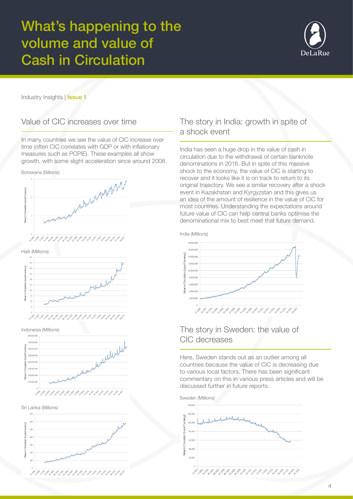

Industry Insights | Issue 1

#### Value of CIC increases over time

In many countries we see the value of CIC increase over time (often CIC correlates with GDP or with inflationary measures such as PCPIE). These examples all show growth, with some slight acceleration since around 2008.









Indonesia (Millions)







### The story in India: growth in spite of a shock event

India has seen a huge drop in the value of cash in circulation due to the withdrawal of certain banknote denominations in 2016. But in spite of this massive shock to the economy, the value of CIC is starting to recover and it looks like it is on track to return to its original trajectory. We see a similar recovery after a shock event in Kazakhstan and Kyrgyzstan and this gives us an idea of the amount of resilience in the value of CIC for most countries. Understanding the expectations around future value of CIC can help central banks optimise the denominational mix to best meet that future demand.



#### The story in Sweden: the value of CIC decreases

Here, Sweden stands out as an outlier among all countries because the value of CIC is decreasing due to various local factors. There has been significant commentary on this in various press articles and will be discussed further in future reports.

Sweden (Millions)140,000  $12000$ Local Curren 80.000 alue in Circulation 60,000  $10.00$ ميرهم والمحفر والمحاربين والمحاربين والمحاربين والمحاربين والمحارب والمحاربين والمحاربين والمحاربين